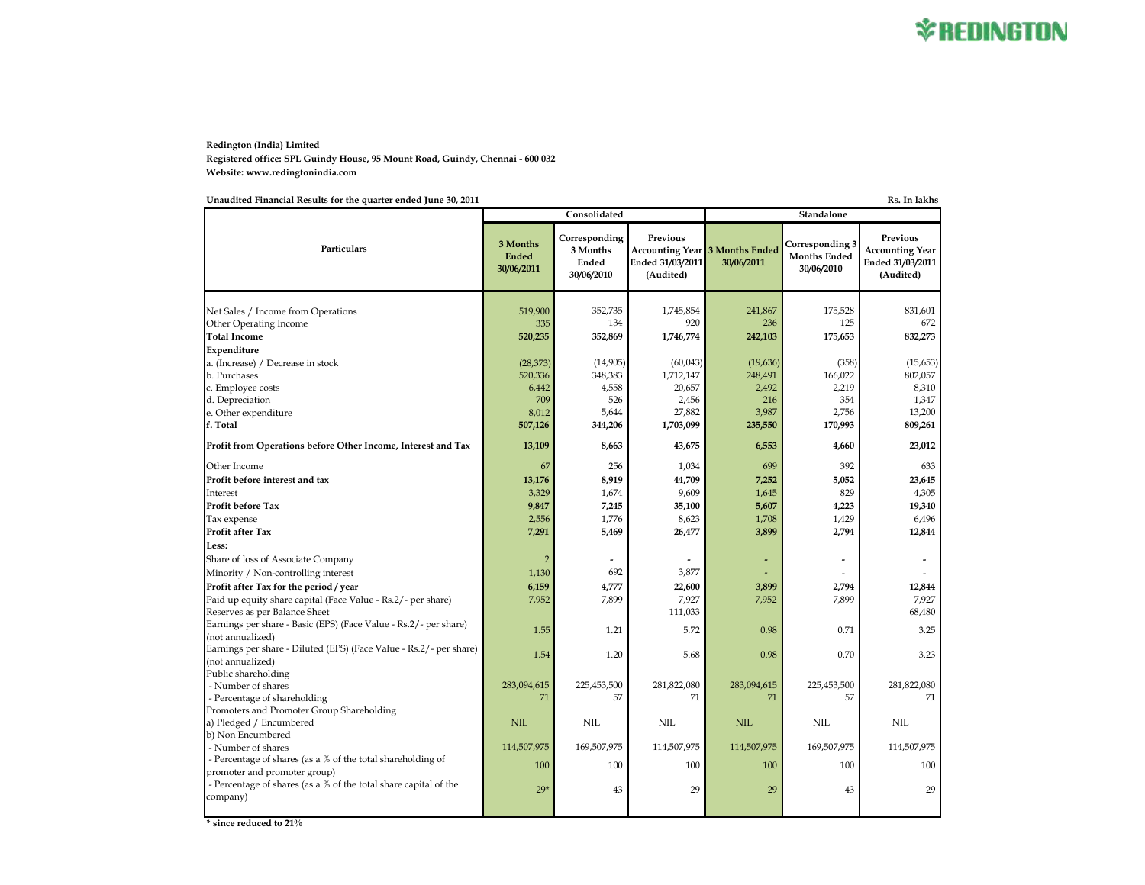## **Redington (India) Limited Registered office: SPL Guindy House, 95 Mount Road, Guindy, Chennai - 600 032 Website: www.redingtonindia.com**

**Unaudited Financial Results for the quarter ended June 30, 2011 Rs. In lakhs**

|                                                                                        |                                        | Consolidated                                     |                                           |                                                     | Standalone<br>30/06/2010<br>175,528<br>125<br>175,653<br>(358)<br>166,022<br>2,219<br>354<br>2,756<br>170,993<br>4,660<br>392<br>5,052 |                                                                     |
|----------------------------------------------------------------------------------------|----------------------------------------|--------------------------------------------------|-------------------------------------------|-----------------------------------------------------|----------------------------------------------------------------------------------------------------------------------------------------|---------------------------------------------------------------------|
| Particulars                                                                            | 3 Months<br><b>Ended</b><br>30/06/2011 | Corresponding<br>3 Months<br>Ended<br>30/06/2010 | Previous<br>Ended 31/03/2011<br>(Audited) | <b>Accounting Year 3 Months Ended</b><br>30/06/2011 | Corresponding 3<br><b>Months Ended</b>                                                                                                 | Previous<br><b>Accounting Year</b><br>Ended 31/03/2011<br>(Audited) |
| Net Sales / Income from Operations                                                     | 519,900                                | 352,735                                          | 1,745,854                                 | 241,867                                             |                                                                                                                                        | 831,601                                                             |
| <b>Other Operating Income</b>                                                          | 335                                    | 134                                              | 920                                       | 236                                                 |                                                                                                                                        | 672                                                                 |
| <b>Total Income</b>                                                                    | 520,235                                | 352,869                                          | 1,746,774                                 | 242,103                                             |                                                                                                                                        | 832,273                                                             |
| Expenditure                                                                            |                                        |                                                  |                                           |                                                     |                                                                                                                                        |                                                                     |
| a. (Increase) / Decrease in stock                                                      | (28, 373)                              | (14,905)                                         | (60,043)                                  | (19,636)                                            |                                                                                                                                        | (15, 653)                                                           |
| b. Purchases                                                                           | 520,336                                | 348,383                                          | 1,712,147                                 | 248,491                                             |                                                                                                                                        | 802,057                                                             |
| c. Employee costs                                                                      | 6,442                                  | 4,558                                            | 20,657                                    | 2,492                                               |                                                                                                                                        | 8,310                                                               |
| d. Depreciation                                                                        | 709                                    | 526                                              | 2,456                                     | 216                                                 |                                                                                                                                        | 1,347                                                               |
| e. Other expenditure                                                                   | 8,012                                  | 5,644                                            | 27,882                                    | 3,987                                               |                                                                                                                                        | 13,200                                                              |
| f. Total                                                                               | 507,126                                | 344,206                                          | 1,703,099                                 | 235,550                                             |                                                                                                                                        | 809,261                                                             |
| Profit from Operations before Other Income, Interest and Tax                           | 13,109                                 | 8,663                                            | 43,675                                    | 6,553                                               |                                                                                                                                        | 23,012                                                              |
| Other Income                                                                           | 67                                     | 256                                              | 1,034                                     | 699                                                 |                                                                                                                                        | 633                                                                 |
| Profit before interest and tax                                                         | 13,176                                 | 8.919                                            | 44,709                                    | 7,252                                               |                                                                                                                                        | 23.645                                                              |
| Interest                                                                               | 3,329                                  | 1,674                                            | 9,609                                     | 1,645                                               | 829                                                                                                                                    | 4,305                                                               |
| <b>Profit before Tax</b>                                                               | 9,847                                  | 7,245                                            | 35,100                                    | 5,607                                               | 4,223                                                                                                                                  | 19.340                                                              |
| Tax expense                                                                            | 2,556                                  | 1,776                                            | 8,623                                     | 1,708                                               | 1,429                                                                                                                                  | 6,496                                                               |
| Profit after Tax                                                                       | 7,291                                  | 5,469                                            | 26,477                                    | 3,899                                               | 2,794                                                                                                                                  | 12,844                                                              |
| Less:                                                                                  |                                        |                                                  |                                           |                                                     |                                                                                                                                        |                                                                     |
| Share of loss of Associate Company                                                     | $\overline{2}$                         | $\overline{\phantom{a}}$                         |                                           |                                                     | $\overline{\phantom{a}}$                                                                                                               | $\overline{\phantom{a}}$                                            |
| Minority / Non-controlling interest                                                    | 1,130                                  | 692                                              | 3,877                                     |                                                     |                                                                                                                                        |                                                                     |
| Profit after Tax for the period / year                                                 | 6,159                                  | 4,777                                            | 22,600                                    | 3,899                                               | 2,794                                                                                                                                  | 12,844                                                              |
| Paid up equity share capital (Face Value - Rs.2/- per share)                           | 7,952                                  | 7,899                                            | 7,927                                     | 7,952                                               | 7,899                                                                                                                                  | 7,927                                                               |
| Reserves as per Balance Sheet                                                          |                                        |                                                  | 111,033                                   |                                                     |                                                                                                                                        | 68,480                                                              |
| Earnings per share - Basic (EPS) (Face Value - Rs.2/ - per share)<br>(not annualized)  | 1.55                                   | 1.21                                             | 5.72                                      | 0.98                                                | 0.71                                                                                                                                   | 3.25                                                                |
| Earnings per share - Diluted (EPS) (Face Value - Rs.2/- per share)<br>(not annualized) | 1.54                                   | 1.20                                             | 5.68                                      | 0.98                                                | 0.70                                                                                                                                   | 3.23                                                                |
| Public shareholding                                                                    |                                        |                                                  |                                           |                                                     |                                                                                                                                        |                                                                     |
| - Number of shares<br>- Percentage of shareholding                                     | 283,094,615<br>71                      | 225,453,500<br>57                                | 281,822,080<br>71                         | 283,094,615<br>71                                   | 225,453,500<br>57                                                                                                                      | 281,822,080<br>71                                                   |
| Promoters and Promoter Group Shareholding                                              |                                        |                                                  |                                           |                                                     |                                                                                                                                        |                                                                     |
| a) Pledged / Encumbered                                                                | <b>NIL</b>                             | <b>NIL</b>                                       | <b>NIL</b>                                | <b>NIL</b>                                          | <b>NIL</b>                                                                                                                             | <b>NIL</b>                                                          |
| b) Non Encumbered                                                                      |                                        |                                                  |                                           |                                                     |                                                                                                                                        |                                                                     |
| - Number of shares                                                                     | 114,507,975                            | 169,507,975                                      | 114,507,975                               | 114,507,975                                         | 169,507,975                                                                                                                            | 114,507,975                                                         |
| - Percentage of shares (as a % of the total shareholding of                            | 100                                    | 100                                              | 100                                       | 100                                                 | 100                                                                                                                                    | 100                                                                 |
| promoter and promoter group)                                                           |                                        |                                                  |                                           |                                                     |                                                                                                                                        |                                                                     |
| - Percentage of shares (as a % of the total share capital of the<br>company)           | $29*$                                  | 43                                               | 29                                        | 29                                                  | 43                                                                                                                                     | 29                                                                  |
|                                                                                        |                                        |                                                  |                                           |                                                     |                                                                                                                                        |                                                                     |

**\* since reduced to 21%**